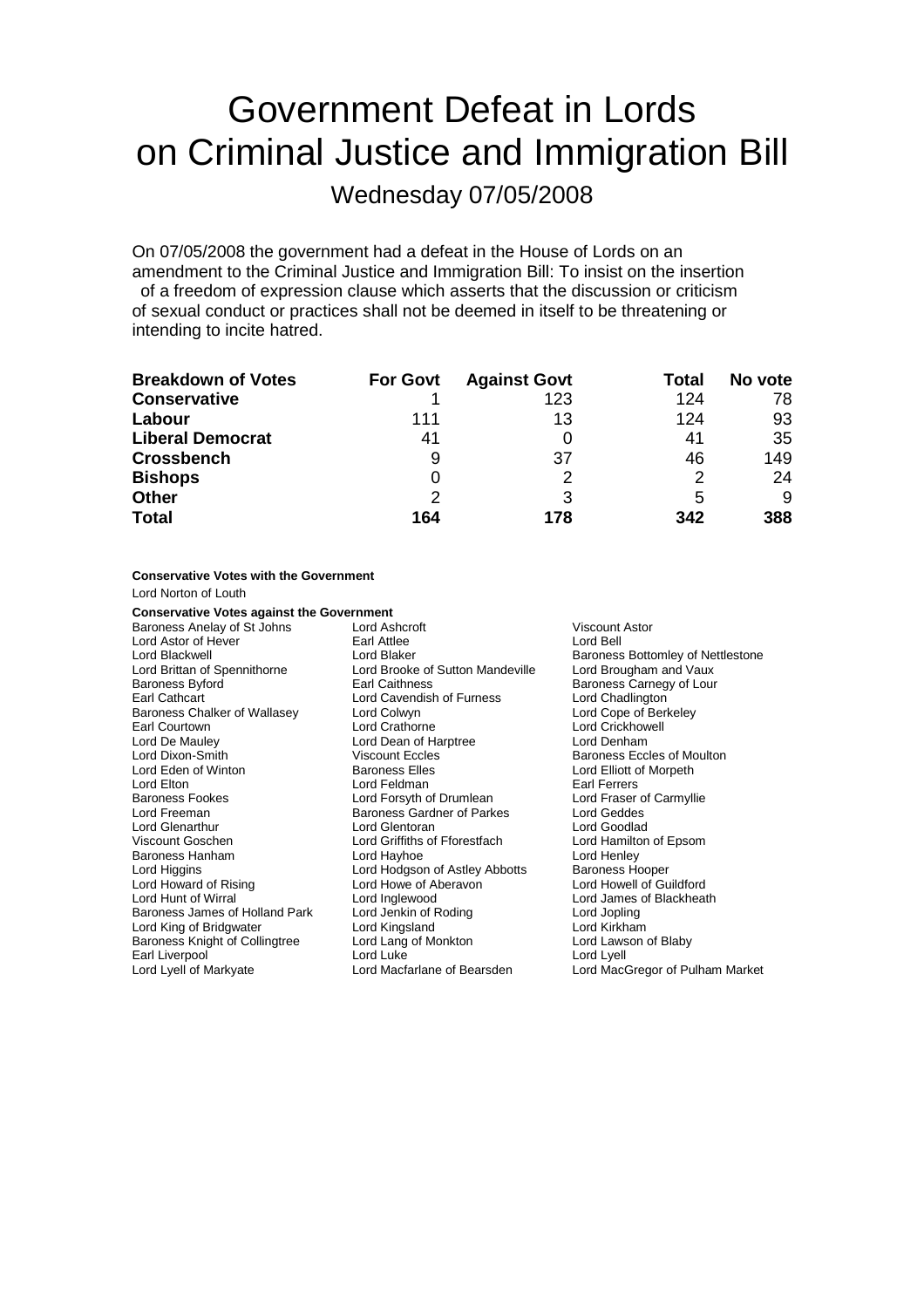# Government Defeat in Lords on Criminal Justice and Immigration Bill

Wednesday 07/05/2008

On 07/05/2008 the government had a defeat in the House of Lords on an amendment to the Criminal Justice and Immigration Bill: To insist on the insertion of a freedom of expression clause which asserts that the discussion or criticism of sexual conduct or practices shall not be deemed in itself to be threatening or intending to incite hatred.

| <b>Breakdown of Votes</b> | <b>For Govt</b> | <b>Against Govt</b> | Total | No vote |
|---------------------------|-----------------|---------------------|-------|---------|
| <b>Conservative</b>       |                 | 123                 | 124   | 78      |
| Labour                    | 111             | 13                  | 124   | 93      |
| <b>Liberal Democrat</b>   | 41              |                     | 41    | 35      |
| <b>Crossbench</b>         | 9               | 37                  | 46    | 149     |
| <b>Bishops</b>            | O               |                     |       | 24      |
| <b>Other</b>              | $\mathcal{P}$   | 3                   | 5     | 9       |
| <b>Total</b>              | 164             | 178                 | 342   | 388     |

#### **Conservative Votes with the Government**

Lord Norton of Louth

#### **Conservative Votes against the Government**

Baroness Anelay of St Johns Lord Ashcroft **Constant Constant Constant Constant Constant** Viscount Astor<br>
Lord Astor of Hever **Constant Constant Constant Constant Astor** Constant Constant Constant Constant Constant Con Lord Astor of Hever Earl Attlee<br>
Lord Blackwell (Lord Blaker Lord Brittan of Spennithorne Lord Brooke of Sutton Mandeville Lord Brougham and Vaux Baroness Byford **Earl Caithness** Earl Caithness **Baroness Carnegy of Lour**<br>
Earl Cathcart **Baroness** Lord Cavendish of Furness Lord Chadlington Baroness Chalker of Wallasey Earl Courtown Lord Crathorne Lord Crickhowell Lord De Mauley **Lord Dean of Harptree Lord Dean of Harptree**<br>
Lord Dixon-Smith **College Corporation** Viscount Eccles Lord Eden of Winton Baroness Elles Lord Elliott of Morpeth Lord Elton Lord Feldman Lord Feldman Lord Earl Ferrers<br>
Lord Earl Ferrers Lord Earl Lord Forsyth of Drumlean Lord Eraser of Carmyllie Lord Freeman Baroness Gardner of Parkes Lord Glenarthur Lord Glentoran Lord Goodlad Baroness Hanham Lord Higgins Lord Hodgson of Astley Abbotts Baroness Hooper Lord Howard of Rising Lord Howe of Aberavon Lord Howell of Guildford Lord Hunt of Wirral **Lord Inglewood** Lord Inglewood Lord James of Blackheath<br>
Raroness James of Holland Park Lord Jenkin of Roding Lord Jong Lord Jonging Baroness James of Holland Park Lord Jenkin of Roding The Must Lord Jopling Lord Jopling Lord Kirkham Lord King of Bridgwater **Lord Kingsland** Lord Cord Kingsland Lord Cord Lawson of Blaby<br>
Baroness Knight of Collingtree Lord Lang of Monkton Lord Lawson of Blaby Baroness Knight of Collingtree Lord Lang of Monkton<br>
Earl Liverpool Cord Lord Lord Luke Lord Lord Lyell Earl Liverpool

Lord Cavendish of Furness Lord Chadlington<br>
Lord Colwyn<br>
Lord Cope of Berkeley **Lord Forsyth of Drumlean Lord Fraser of Praser Conservation**<br>Baroness Gardner of Parkes Lord Geddes Lord Griffiths of Fforestfach Lord Hamilton Lord Hamilton Cord Hamilton Cord Henley

Baroness Bottomley of Nettlestone Baroness Eccles of Moulton Lord Lyell of Markyate Lord Macfarlane of Bearsden Lord MacGregor of Pulham Market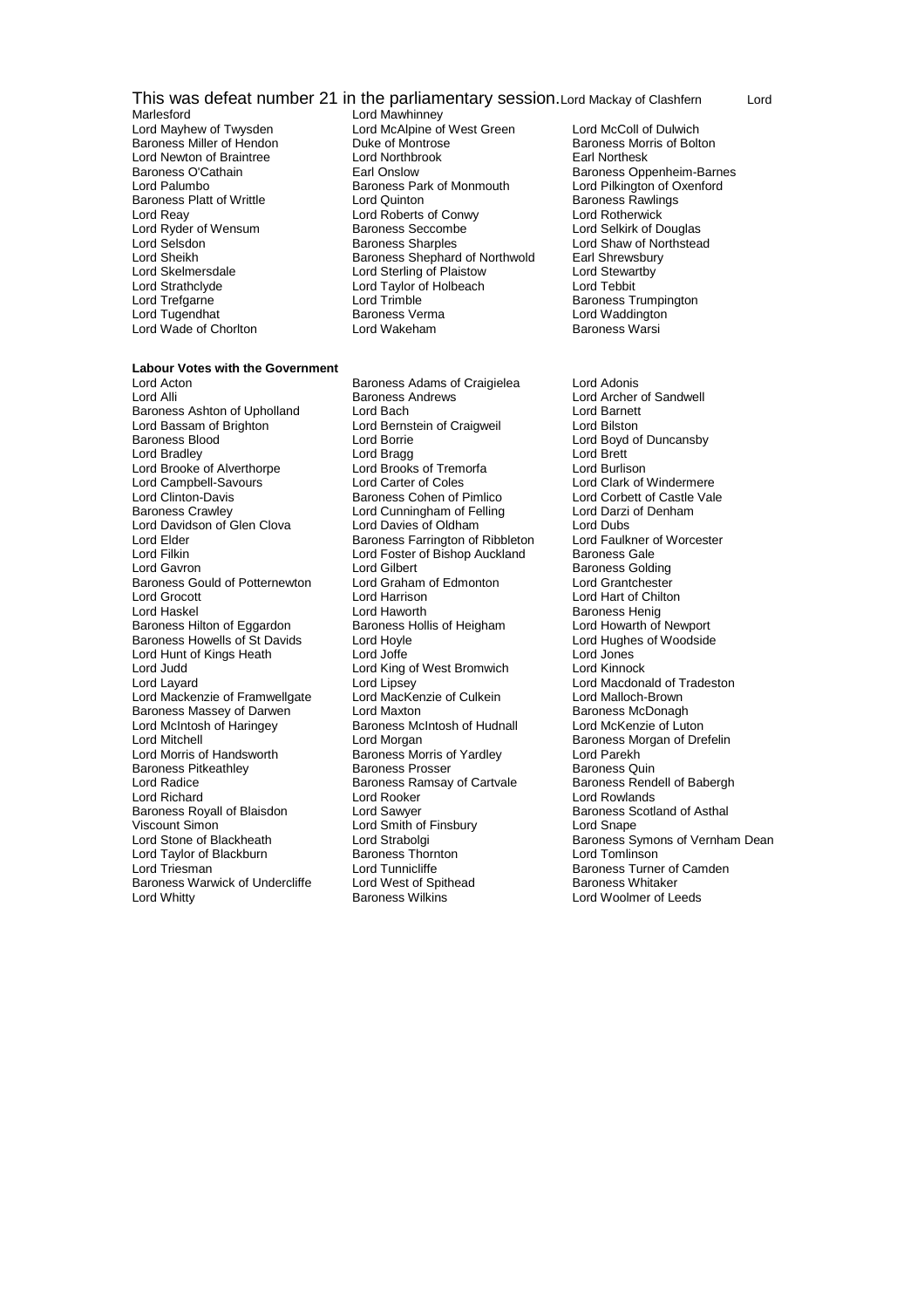# This was defeat number 21 in the parliamentary session. Lord Mackay of Clashfern Lord Marlesford

- Marlesford Lord Mawhinney<br>
Lord Mayhew of Twysden Lord McAlpine of Baroness Miller of Hendon Lord Ryder of Wensum Lord Strathclyde Lord Taylor of Holbeach<br>
Lord Trefgarne Lord Trimble Lord Wade of Chorlton
- Lord McAlpine of West Green Lord McColl of Dulwich<br>
Duke of Montrose Baroness Morris of Bolton Lord Newton of Braintree Lord Northbrook Earl Northesk Lord Palumbo **Baroness Park of Monmouth** Lord Pilkington of C<br>Baroness Platt of Writtle **Common Lord Quinton** Baroness Rawlings Baroness Platt of Writtle **Lord Quinton** Lord Communist Condess Rawlings Rawlings Condess Rawlings Condess Rawlings<br>
Lord Reav Lord Roberts of Conwy Lord Rotherwick Lord Roberts of Conwy<br>
Baroness Seccombe<br>
Lord Selkirk of Douglas Lord Selsdon **Baroness Sharples** Lord Shaw of Northstead<br>
Lord Sheikh **Baroness Shephard of Northwold** Earl Shrewsbury Lord Sheikh Baroness Shephard of Northwold Earl Shrewsbur<br>
Lord Skelmersdale Lord Sterling of Plaistow Lord Stewartby Lord Sterling of Plaistow Lord Stewart<br>Lord Taylor of Holbeach Lord Tebbit Lord Trefgarne **Lord Trimble Community Community** Baroness Trumpington<br>
Lord Tugendhat **Baroness Verma** Communication Communication **Baroness Verma Lord Waddington<br>Lord Wakeham Baroness Warsi**

# **Labour Votes with the Government**<br>Lord Acton

Baroness Ashton of Upholland Lord Bach<br>Lord Bassam of Brighton Lord Bernstein of Craigweil Lord Bassam of Brighton Lord Bernstein of Craigweil Lord Bilston Baroness Blood Text Cord Borrie Cord Borrie Cord Boyd of Duncansby<br>
Lord Bradley Lord Borrie Lord Borrie Lord Brett Lord Bradley Lord Bragg Lord Brett Lord Brooke of Alverthorpe Lord Brooks of Tremorfa Lord Burlison Lord Campbell-Savours<br>
Lord Clinton-Davis Baroness Cohen of Pimlico Lord Corbett of Castle Val Lord Clinton-Davis **Baroness Cohen of Pimlico** Lord Corbett of Castle Vale<br>
Baroness Crawley **Lord Cunningham of Felling** Lord Darzi of Denham Lord Davidson of Glen Clova Lord Davies of Oldham Lord Dubs<br>
Lord Flder Baroness Farrington of Ribbleton Lord Faulkner of Worcester Lord Elder **Baroness Farrington of Ribbleton** Lord Faulkner of Ribbleton Lord Faulkner of Bishop Auckland Baroness Gale Lord Filkin Lord Foster of Bishop Auckland<br>Lord Gayron Lord Gilbert Baroness Gould of Potternewton Lord Graham of Edmonton Lord Grantchester<br>
Lord Grocott Lord Hartison Lord Hartison Lord Hartison Lord Hart of Chilton Lord Grocott Lord Harrison Lord Hart of Chilton Baroness Hilton of Eggardon Baroness Howells of St Davids Lord Hoyle<br>
Lord Hughes of Woodside<br>
Lord Hunt of Kings Heath 
Lord Jones

Lord Jones

Lord Jones Lord Hunt of Kings Heath Lord Joffe Lord Jones Lord Layard<br>
Lord Mackenzie of Framwellgate Lord MacKenzie of Culkein Lord Mackenzie Cord Malloch-Brown Lord Mackenzie of Framwellgate Lord MacKenzie of Culkein Lord Malloch-Brown<br>
Baroness Massev of Darwen Lord Maxton Culkein Baroness McDonagh Baroness Massey of Darwen Lord Maxton Lord Maxton Baroness McDonagh<br>
Lord McIntosh of Haringey Baroness McIntosh of Hudnall Lord McKenzie of Luton Lord McIntosh of Haringey Lord Mitchell<br>
Lord Morgan Cord Morgan Baroness Morris of Yardley<br>
Lord Morris of Handsworth Baroness Morris of Yardley<br>
Lord Parekh Baroness Pitkeathley **Baroness Prosser** Baroness Quin<br>
Lord Radice **Baroness Ramsay of Cartyale** Baroness Rendell of Babergh Lord Richard **Lord Rooker** Lord Rooker **Lord Rooker** Lord Rowlands<br>
Baroness Royall of Blaisdon **Lord Sawyer** Lord Paroness Scotland of Asthal Baroness Royall of Blaisdon Lord Sawyer Conness Scotland Baroness Scotland Conness Scotland Conness Scotland O<br>
Lord Sampe Lord Snape Conness Scotland of Association Conness Scotland Conness Scotland Conness Scotland Conn Viscount Simon<br>
Lord Smith of Finsbury<br>
Lord Strabolgi Lord Taylor of Blackburn **Baroness Thornton Baroness Thornton Lord Toma**<br>Cord Triesman Lord Tunnicliffe Baroness Warwick of Undercliffe Lord Whitty Baroness Wilkins Lord Woolmer of Leeds

Lord Acton Baroness Adams of Craigielea Lord Adonis Lord Cunningham of Felling<br>Lord Davies of Oldham Lord Haworth<br>
Baroness Hollis of Heigham<br>
Baroness Hollis of Heigham Lord Howarth of Newport Lord King of West Bromwich Baroness Morris of Yardley **Lord Parekh**<br>Baroness Prosser **Baroness Quin** Baroness Ramsay of Cartvale Lord Tunnicliffe **Baroness Turner of Camden**<br>
Lord West of Spithead **Baroness Whitaker** 

Baroness Oppenheim-Barnes<br>Lord Pilkington of Oxenford

Lord Archer of Sandwell<br>Lord Barnett Baroness Golding Lord Strabolgi **Conflue Communist Baroness Symons of Vernham Dean**<br>Baroness Thornton **Baroness Symons Confluence Communisty**